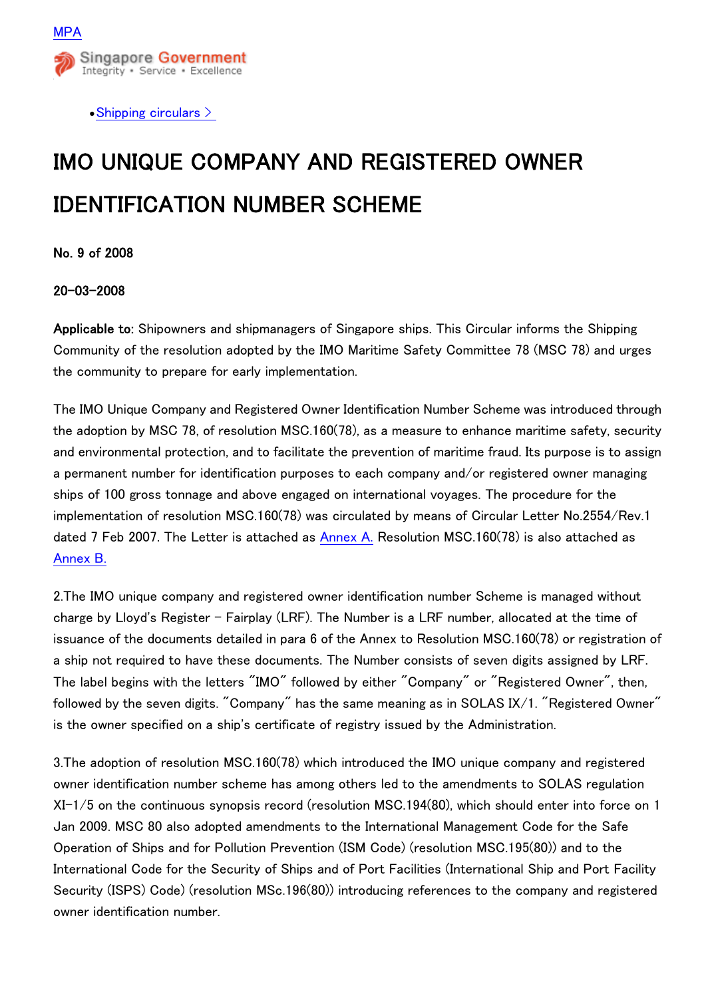

• Shipping circulars  $\geq$ 

## IMO UNIQUE COMPANY AND REGISTERED OWNER IDENTIFICATION NUMBER SCHEME

No. 9 of 2008

## 20-03-2008

Applicable to: Shipowners and shipmanagers of Singapore ships. This Circular informs the Shipping Community of the resolution adopted by the IMO Maritime Safety Committee 78 (MSC 78) and urges the community to prepare for early implementation.

The IMO Unique Company and Registered Owner Identification Number Scheme was introduced through the adoption by MSC 78, of resolution MSC.160(78), as a measure to enhance maritime safety, security and environmental protection, and to facilitate the prevention of maritime fraud. Its purpose is to assign a permanent number for identification purposes to each company and/or registered owner managing ships of 100 gross tonnage and above engaged on international voyages. The procedure for the implementation of resolution MSC.160(78) was circulated by means of Circular Letter No.2554/Rev.1 dated 7 Feb 2007. The Letter is attached as [Annex A.](http://www.mpa.gov.sg/sites/circulars_and_notices/pdfs/shipping_circulars/sc08-09.pdf) Resolution MSC.160(78) is also attached as [Annex B.](http://www.mpa.gov.sg/sites/circulars_and_notices/pdfs/shipping_circulars/sc08-09a.pdf)

2.The IMO unique company and registered owner identification number Scheme is managed without charge by Lloyd's Register - Fairplay (LRF). The Number is a LRF number, allocated at the time of issuance of the documents detailed in para 6 of the Annex to Resolution MSC.160(78) or registration of a ship not required to have these documents. The Number consists of seven digits assigned by LRF. The label begins with the letters "IMO" followed by either "Company" or "Registered Owner", then, followed by the seven digits. "Company" has the same meaning as in SOLAS IX/1. "Registered Owner" is the owner specified on a ship's certificate of registry issued by the Administration.

3.The adoption of resolution MSC.160(78) which introduced the IMO unique company and registered owner identification number scheme has among others led to the amendments to SOLAS regulation XI-1/5 on the continuous synopsis record (resolution MSC.194(80), which should enter into force on 1 Jan 2009. MSC 80 also adopted amendments to the International Management Code for the Safe Operation of Ships and for Pollution Prevention (ISM Code) (resolution MSC.195(80)) and to the International Code for the Security of Ships and of Port Facilities (International Ship and Port Facility Security (ISPS) Code) (resolution MSc.196(80)) introducing references to the company and registered owner identification number.